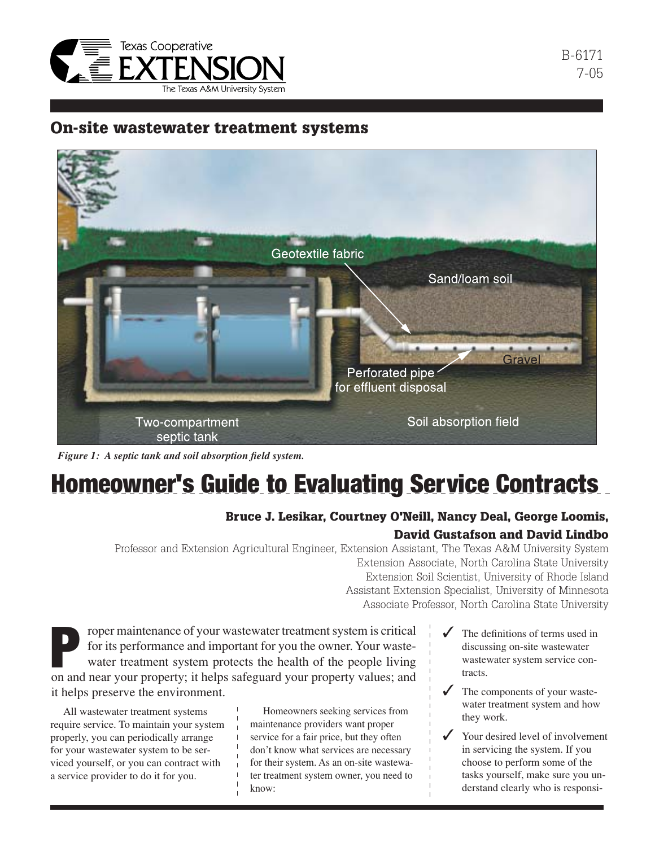

### On-site wastewater treatment systems



*Figure 1: A septic tank and soil absorption field system.*

# Homeowner's Guide to Evaluating Service Contracts

#### Bruce J. Lesikar, Courtney O'Neill, Nancy Deal, George Loomis,

#### David Gustafson and David Lindbo

Professor and Extension Agricultural Engineer, Extension Assistant, The Texas A&M University System Extension Associate, North Carolina State University Extension Soil Scientist, University of Rhode Island

Assistant Extension Specialist, University of Minnesota Associate Professor, North Carolina State University

Figure 1 and the owner. Your waster is critical for its performance and important for you the owner. Your wastewater treatment system protects the health of the people living on and near your property; it helps safeguard y roper maintenance of your wastewater treatment system is critical for its performance and important for you the owner. Your wastewater treatment system protects the health of the people living it helps preserve the environment.

All wastewater treatment systems require service. To maintain your system properly, you can periodically arrange for your wastewater system to be serviced yourself, or you can contract with a service provider to do it for you.

Homeowners seeking services from maintenance providers want proper service for a fair price, but they often don't know what services are necessary for their system. As an on-site wastewater treatment system owner, you need to know:

- The definitions of terms used in discussing on-site wastewater wastewater system service contracts.
- The components of your wastewater treatment system and how they work.
- Your desired level of involvement in servicing the system. If you choose to perform some of the tasks yourself, make sure you understand clearly who is responsi-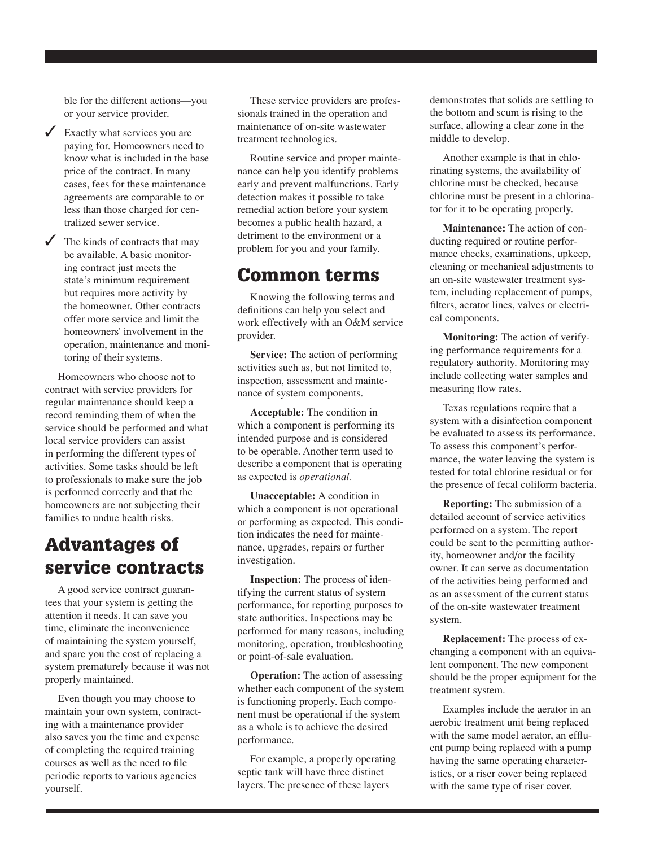ble for the different actions—you or your service provider.

- $\angle$  Exactly what services you are paying for. Homeowners need to know what is included in the base price of the contract. In many cases, fees for these maintenance agreements are comparable to or less than those charged for centralized sewer service.
- $\checkmark$  The kinds of contracts that may be available. A basic monitoring contract just meets the state's minimum requirement but requires more activity by the homeowner. Other contracts offer more service and limit the homeowners' involvement in the operation, maintenance and monitoring of their systems.

Homeowners who choose not to contract with service providers for regular maintenance should keep a record reminding them of when the service should be performed and what local service providers can assist in performing the different types of activities. Some tasks should be left to professionals to make sure the job is performed correctly and that the homeowners are not subjecting their families to undue health risks.

# Advantages of service contracts

A good service contract guarantees that your system is getting the attention it needs. It can save you time, eliminate the inconvenience of maintaining the system yourself, and spare you the cost of replacing a system prematurely because it was not properly maintained.

Even though you may choose to maintain your own system, contracting with a maintenance provider also saves you the time and expense of completing the required training courses as well as the need to file periodic reports to various agencies yourself.

These service providers are professionals trained in the operation and maintenance of on-site wastewater treatment technologies.

Routine service and proper maintenance can help you identify problems early and prevent malfunctions. Early detection makes it possible to take remedial action before your system becomes a public health hazard, a detriment to the environment or a problem for you and your family.

### Common terms

Knowing the following terms and definitions can help you select and work effectively with an O&M service provider.

**Service:** The action of performing activities such as, but not limited to, inspection, assessment and maintenance of system components.

**Acceptable:** The condition in which a component is performing its intended purpose and is considered to be operable. Another term used to describe a component that is operating as expected is *operational.*

**Unacceptable:** A condition in which a component is not operational or performing as expected. This condition indicates the need for maintenance, upgrades, repairs or further investigation.

**Inspection:** The process of identifying the current status of system performance, for reporting purposes to state authorities. Inspections may be performed for many reasons, including monitoring, operation, troubleshooting or point-of-sale evaluation.

**Operation:** The action of assessing whether each component of the system is functioning properly. Each component must be operational if the system as a whole is to achieve the desired performance.

For example, a properly operating septic tank will have three distinct layers. The presence of these layers

demonstrates that solids are settling to the bottom and scum is rising to the surface, allowing a clear zone in the middle to develop.

Another example is that in chlorinating systems, the availability of chlorine must be checked, because chlorine must be present in a chlorinator for it to be operating properly.

**Maintenance:** The action of conducting required or routine performance checks, examinations, upkeep, cleaning or mechanical adjustments to an on-site wastewater treatment system, including replacement of pumps, filters, aerator lines, valves or electrical components.

**Monitoring:** The action of verifying performance requirements for a regulatory authority. Monitoring may include collecting water samples and measuring flow rates.

Texas regulations require that a system with a disinfection component be evaluated to assess its performance. To assess this component's performance, the water leaving the system is tested for total chlorine residual or for the presence of fecal coliform bacteria.

**Reporting:** The submission of a detailed account of service activities performed on a system. The report could be sent to the permitting authority, homeowner and/or the facility owner. It can serve as documentation of the activities being performed and as an assessment of the current status of the on-site wastewater treatment system.

**Replacement:** The process of exchanging a component with an equivalent component. The new component should be the proper equipment for the treatment system.

Examples include the aerator in an aerobic treatment unit being replaced with the same model aerator, an effluent pump being replaced with a pump having the same operating characteristics, or a riser cover being replaced with the same type of riser cover.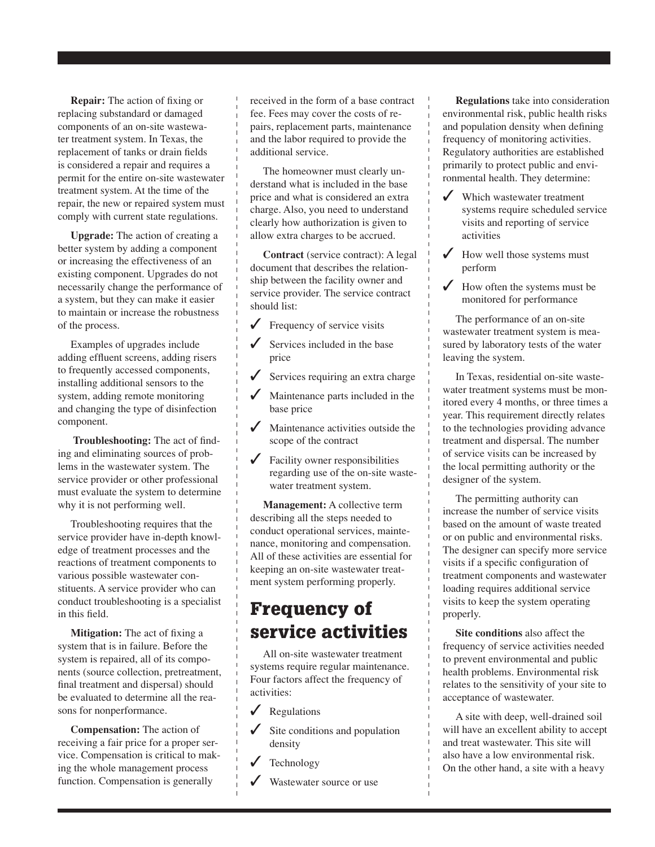**Repair:** The action of fixing or replacing substandard or damaged components of an on-site wastewater treatment system. In Texas, the replacement of tanks or drain fields is considered a repair and requires a permit for the entire on-site wastewater treatment system. At the time of the repair, the new or repaired system must comply with current state regulations.

**Upgrade:** The action of creating a better system by adding a component or increasing the effectiveness of an existing component. Upgrades do not necessarily change the performance of a system, but they can make it easier to maintain or increase the robustness of the process.

Examples of upgrades include adding effluent screens, adding risers to frequently accessed components, installing additional sensors to the system, adding remote monitoring and changing the type of disinfection component.

**Troubleshooting:** The act of finding and eliminating sources of problems in the wastewater system. The service provider or other professional must evaluate the system to determine why it is not performing well.

Troubleshooting requires that the service provider have in-depth knowledge of treatment processes and the reactions of treatment components to various possible wastewater constituents. A service provider who can conduct troubleshooting is a specialist in this field.

**Mitigation:** The act of fixing a system that is in failure. Before the system is repaired, all of its components (source collection, pretreatment, final treatment and dispersal) should be evaluated to determine all the reasons for nonperformance.

**Compensation:** The action of receiving a fair price for a proper service. Compensation is critical to making the whole management process function. Compensation is generally

received in the form of a base contract fee. Fees may cover the costs of repairs, replacement parts, maintenance and the labor required to provide the additional service.

The homeowner must clearly understand what is included in the base price and what is considered an extra charge. Also, you need to understand clearly how authorization is given to allow extra charges to be accrued.

**Contract** (service contract): A legal document that describes the relationship between the facility owner and service provider. The service contract should list:

- $\sqrt{\ }$  Frequency of service visits
- Services included in the base price
- Services requiring an extra charge
- Maintenance parts included in the base price
- Maintenance activities outside the scope of the contract
- $\triangledown$  Facility owner responsibilities regarding use of the on-site wastewater treatment system.

**Management:** A collective term describing all the steps needed to conduct operational services, maintenance, monitoring and compensation. All of these activities are essential for keeping an on-site wastewater treatment system performing properly.

# Frequency of service activities

All on-site wastewater treatment systems require regular maintenance. Four factors affect the frequency of activities:

- $\sqrt{\phantom{a}}$  Regulations
- Site conditions and population density
- **Technology**
- Wastewater source or use

**Regulations** take into consideration environmental risk, public health risks and population density when defining frequency of monitoring activities. Regulatory authorities are established primarily to protect public and environmental health. They determine:

- ✓ Which wastewater treatment systems require scheduled service visits and reporting of service activities
- $\checkmark$  How well those systems must perform
- $\checkmark$  How often the systems must be monitored for performance

The performance of an on-site wastewater treatment system is measured by laboratory tests of the water leaving the system.

In Texas, residential on-site wastewater treatment systems must be monitored every 4 months, or three times a year. This requirement directly relates to the technologies providing advance treatment and dispersal. The number of service visits can be increased by the local permitting authority or the designer of the system.

The permitting authority can increase the number of service visits based on the amount of waste treated or on public and environmental risks. The designer can specify more service visits if a specific configuration of treatment components and wastewater loading requires additional service visits to keep the system operating properly.

**Site conditions** also affect the frequency of service activities needed to prevent environmental and public health problems. Environmental risk relates to the sensitivity of your site to acceptance of wastewater.

A site with deep, well-drained soil will have an excellent ability to accept and treat wastewater. This site will also have a low environmental risk. On the other hand, a site with a heavy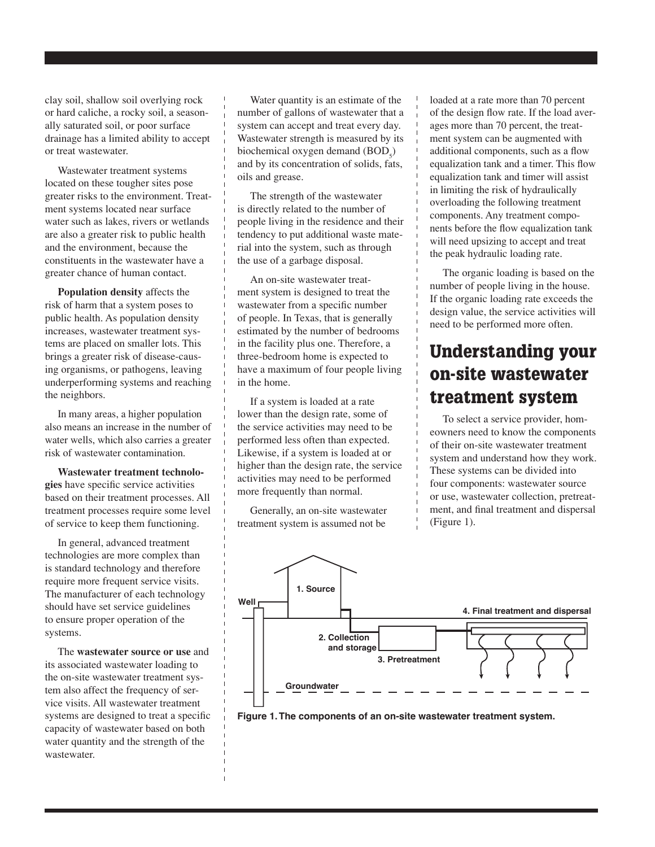clay soil, shallow soil overlying rock or hard caliche, a rocky soil, a seasonally saturated soil, or poor surface drainage has a limited ability to accept or treat wastewater.

Wastewater treatment systems located on these tougher sites pose greater risks to the environment. Treatment systems located near surface water such as lakes, rivers or wetlands are also a greater risk to public health and the environment, because the constituents in the wastewater have a greater chance of human contact.

**Population density** affects the risk of harm that a system poses to public health. As population density increases, wastewater treatment systems are placed on smaller lots. This brings a greater risk of disease-causing organisms, or pathogens, leaving underperforming systems and reaching the neighbors.

In many areas, a higher population also means an increase in the number of water wells, which also carries a greater risk of wastewater contamination.

**Wastewater treatment technologies** have specific service activities based on their treatment processes. All treatment processes require some level of service to keep them functioning.

In general, advanced treatment technologies are more complex than is standard technology and therefore require more frequent service visits. The manufacturer of each technology should have set service guidelines to ensure proper operation of the systems.

The **wastewater source or use** and its associated wastewater loading to the on-site wastewater treatment system also affect the frequency of service visits. All wastewater treatment systems are designed to treat a specific capacity of wastewater based on both water quantity and the strength of the wastewater.

Water quantity is an estimate of the number of gallons of wastewater that a system can accept and treat every day. Wastewater strength is measured by its biochemical oxygen demand  $(BOD<sub>5</sub>)$ and by its concentration of solids, fats, oils and grease.

The strength of the wastewater is directly related to the number of people living in the residence and their tendency to put additional waste material into the system, such as through the use of a garbage disposal.

An on-site wastewater treatment system is designed to treat the wastewater from a specific number of people. In Texas, that is generally estimated by the number of bedrooms in the facility plus one. Therefore, a three-bedroom home is expected to have a maximum of four people living in the home.

If a system is loaded at a rate lower than the design rate, some of the service activities may need to be performed less often than expected. Likewise, if a system is loaded at or higher than the design rate, the service activities may need to be performed more frequently than normal.

Generally, an on-site wastewater treatment system is assumed not be

loaded at a rate more than 70 percent of the design flow rate. If the load averages more than 70 percent, the treatment system can be augmented with additional components, such as a flow equalization tank and a timer. This flow equalization tank and timer will assist in limiting the risk of hydraulically overloading the following treatment components. Any treatment components before the flow equalization tank will need upsizing to accept and treat the peak hydraulic loading rate.

The organic loading is based on the number of people living in the house. If the organic loading rate exceeds the design value, the service activities will need to be performed more often.

# Understanding your on-site wastewater treatment system

To select a service provider, homeowners need to know the components of their on-site wastewater treatment system and understand how they work. These systems can be divided into four components: wastewater source or use, wastewater collection, pretreatment, and final treatment and dispersal (Figure 1).



**Figure 1. The components of an on-site wastewater treatment system.**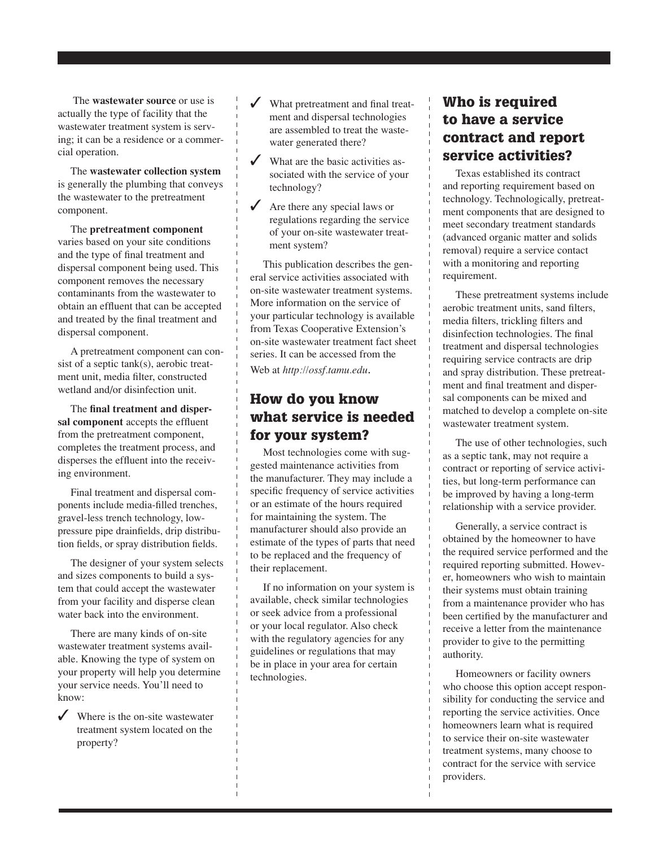The **wastewater source** or use is actually the type of facility that the wastewater treatment system is serving; it can be a residence or a commercial operation.

The **wastewater collection system** is generally the plumbing that conveys the wastewater to the pretreatment component.

The **pretreatment component** varies based on your site conditions and the type of final treatment and dispersal component being used. This component removes the necessary contaminants from the wastewater to obtain an effluent that can be accepted and treated by the final treatment and dispersal component.

A pretreatment component can consist of a septic tank(s), aerobic treatment unit, media filter, constructed wetland and/or disinfection unit.

The **final treatment and dispersal component** accepts the effluent from the pretreatment component, completes the treatment process, and disperses the effluent into the receiving environment.

Final treatment and dispersal components include media-filled trenches, gravel-less trench technology, lowpressure pipe drainfields, drip distribution fields, or spray distribution fields.

The designer of your system selects and sizes components to build a system that could accept the wastewater from your facility and disperse clean water back into the environment.

There are many kinds of on-site wastewater treatment systems available. Knowing the type of system on your property will help you determine your service needs. You'll need to know:

 $\checkmark$  Where is the on-site wastewater treatment system located on the property?

- What pretreatment and final treatment and dispersal technologies are assembled to treat the wastewater generated there?
- $\checkmark$  What are the basic activities associated with the service of your technology?
- $\angle$  Are there any special laws or regulations regarding the service of your on-site wastewater treatment system?

This publication describes the general service activities associated with on-site wastewater treatment systems. More information on the service of your particular technology is available from Texas Cooperative Extension's on-site wastewater treatment fact sheet series. It can be accessed from the Web at *http://ossf.tamu.edu*.

#### How do you know what service is needed for your system?

Most technologies come with suggested maintenance activities from the manufacturer. They may include a specific frequency of service activities or an estimate of the hours required for maintaining the system. The manufacturer should also provide an estimate of the types of parts that need to be replaced and the frequency of their replacement.

If no information on your system is available, check similar technologies or seek advice from a professional or your local regulator. Also check with the regulatory agencies for any guidelines or regulations that may be in place in your area for certain technologies.

### Who is required to have a service contract and report service activities?

Texas established its contract and reporting requirement based on technology. Technologically, pretreatment components that are designed to meet secondary treatment standards (advanced organic matter and solids removal) require a service contact with a monitoring and reporting requirement.

These pretreatment systems include aerobic treatment units, sand filters, media filters, trickling filters and disinfection technologies. The final treatment and dispersal technologies requiring service contracts are drip and spray distribution. These pretreatment and final treatment and dispersal components can be mixed and matched to develop a complete on-site wastewater treatment system.

The use of other technologies, such as a septic tank, may not require a contract or reporting of service activities, but long-term performance can be improved by having a long-term relationship with a service provider.

Generally, a service contract is obtained by the homeowner to have the required service performed and the required reporting submitted. However, homeowners who wish to maintain their systems must obtain training from a maintenance provider who has been certified by the manufacturer and receive a letter from the maintenance provider to give to the permitting authority.

Homeowners or facility owners who choose this option accept responsibility for conducting the service and reporting the service activities. Once homeowners learn what is required to service their on-site wastewater treatment systems, many choose to contract for the service with service providers.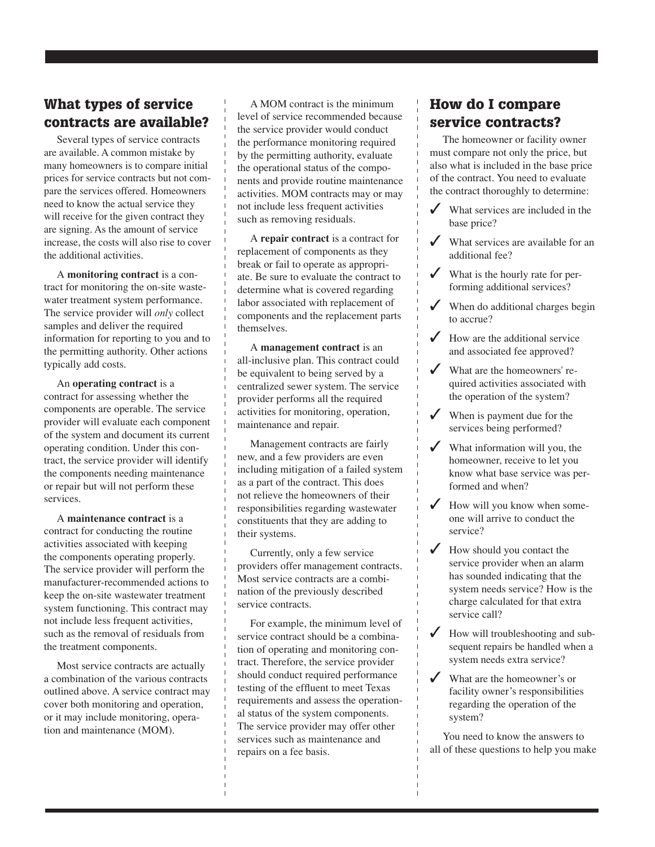## What types of service contracts are available?

Several types of service contracts are available. A common mistake by many homeowners is to compare initial prices for service contracts but not compare the services offered. Homeowners need to know the actual service they will receive for the given contract they are signing. As the amount of service increase, the costs will also rise to cover the additional activities.

A **monitoring contract** is a contract for monitoring the on-site wastewater treatment system performance. The service provider will *only* collect samples and deliver the required information for reporting to you and to the permitting authority. Other actions typically add costs.

An **operating contract** is a contract for assessing whether the components are operable. The service provider will evaluate each component of the system and document its current operating condition. Under this contract, the service provider will identify the components needing maintenance or repair but will not perform these services.

A **maintenance contract** is a contract for conducting the routine activities associated with keeping the components operating properly. The service provider will perform the manufacturer-recommended actions to keep the on-site wastewater treatment system functioning. This contract may not include less frequent activities, such as the removal of residuals from the treatment components.

Most service contracts are actually a combination of the various contracts outlined above. A service contract may cover both monitoring and operation, or it may include monitoring, operation and maintenance (MOM).

A MOM contract is the minimum level of service recommended because the service provider would conduct the performance monitoring required by the permitting authority, evaluate the operational status of the components and provide routine maintenance activities. MOM contracts may or may not include less frequent activities such as removing residuals.

A **repair contract** is a contract for replacement of components as they break or fail to operate as appropriate. Be sure to evaluate the contract to determine what is covered regarding labor associated with replacement of components and the replacement parts themselves.

A **management contract** is an all-inclusive plan. This contract could be equivalent to being served by a centralized sewer system. The service provider performs all the required activities for monitoring, operation, maintenance and repair.

Management contracts are fairly new, and a few providers are even including mitigation of a failed system as a part of the contract. This does not relieve the homeowners of their responsibilities regarding wastewater constituents that they are adding to their systems.

Currently, only a few service providers offer management contracts. Most service contracts are a combination of the previously described service contracts.

For example, the minimum level of service contract should be a combination of operating and monitoring contract. Therefore, the service provider should conduct required performance testing of the effluent to meet Texas requirements and assess the operational status of the system components. The service provider may offer other services such as maintenance and repairs on a fee basis.

## How do I compare service contracts?

The homeowner or facility owner must compare not only the price, but also what is included in the base price of the contract. You need to evaluate the contract thoroughly to determine:

- $\checkmark$  What services are included in the base price?
- $\checkmark$  What services are available for an additional fee?
- ✓ What is the hourly rate for performing additional services?
- $\checkmark$  When do additional charges begin to accrue?
- $\checkmark$  How are the additional service and associated fee approved?
- ✓ What are the homeowners' required activities associated with the operation of the system?
- $\checkmark$  When is payment due for the services being performed?
- $\checkmark$  What information will you, the homeowner, receive to let you know what base service was performed and when?
- $\checkmark$  How will you know when someone will arrive to conduct the service?
- ✓ How should you contact the service provider when an alarm has sounded indicating that the system needs service? How is the charge calculated for that extra service call?
- $\checkmark$  How will troubleshooting and subsequent repairs be handled when a system needs extra service?
- ✓ What are the homeowner's or facility owner's responsibilities regarding the operation of the system?

You need to know the answers to all of these questions to help you make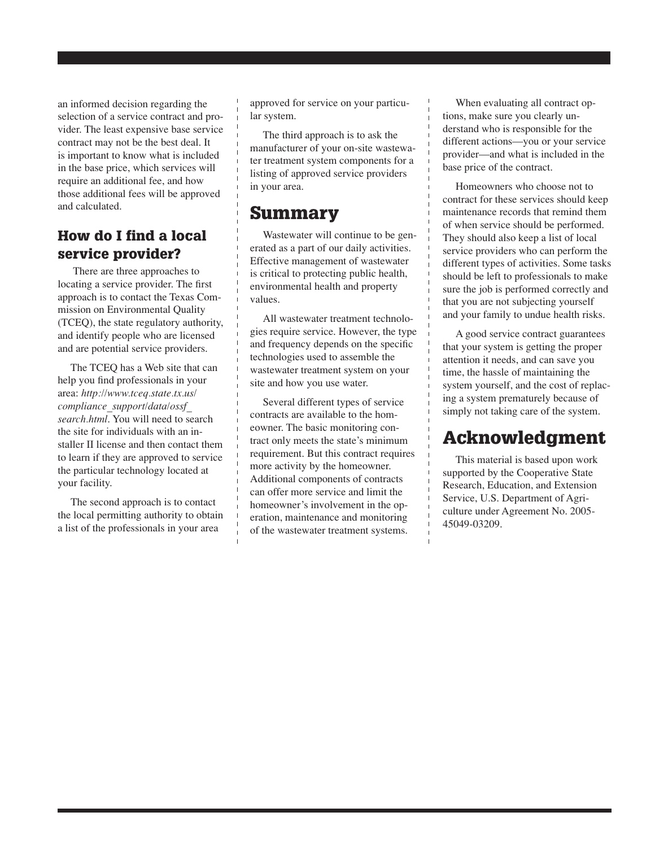an informed decision regarding the selection of a service contract and provider. The least expensive base service contract may not be the best deal. It is important to know what is included in the base price, which services will require an additional fee, and how those additional fees will be approved and calculated.

#### How do I find a local service provider?

There are three approaches to locating a service provider. The first approach is to contact the Texas Commission on Environmental Quality (TCEQ), the state regulatory authority, and identify people who are licensed and are potential service providers.

The TCEQ has a Web site that can help you find professionals in your area: *http://www.tceq.state.tx.us/ compliance\_support/data/ossf\_ search.html*. You will need to search the site for individuals with an installer II license and then contact them to learn if they are approved to service the particular technology located at your facility.

The second approach is to contact the local permitting authority to obtain a list of the professionals in your area

approved for service on your particular system.

The third approach is to ask the manufacturer of your on-site wastewater treatment system components for a listing of approved service providers in your area.

# Summary

Wastewater will continue to be generated as a part of our daily activities. Effective management of wastewater is critical to protecting public health, environmental health and property values.

All wastewater treatment technologies require service. However, the type and frequency depends on the specific technologies used to assemble the wastewater treatment system on your site and how you use water.

Several different types of service contracts are available to the homeowner. The basic monitoring contract only meets the state's minimum requirement. But this contract requires more activity by the homeowner. Additional components of contracts can offer more service and limit the homeowner's involvement in the operation, maintenance and monitoring of the wastewater treatment systems.

When evaluating all contract options, make sure you clearly understand who is responsible for the different actions—you or your service provider—and what is included in the base price of the contract.

Homeowners who choose not to contract for these services should keep maintenance records that remind them of when service should be performed. They should also keep a list of local service providers who can perform the different types of activities. Some tasks should be left to professionals to make sure the job is performed correctly and that you are not subjecting yourself and your family to undue health risks.

A good service contract guarantees that your system is getting the proper attention it needs, and can save you time, the hassle of maintaining the system yourself, and the cost of replacing a system prematurely because of simply not taking care of the system.

# Acknowledgment

This material is based upon work supported by the Cooperative State Research, Education, and Extension Service, U.S. Department of Agriculture under Agreement No. 2005- 45049-03209.